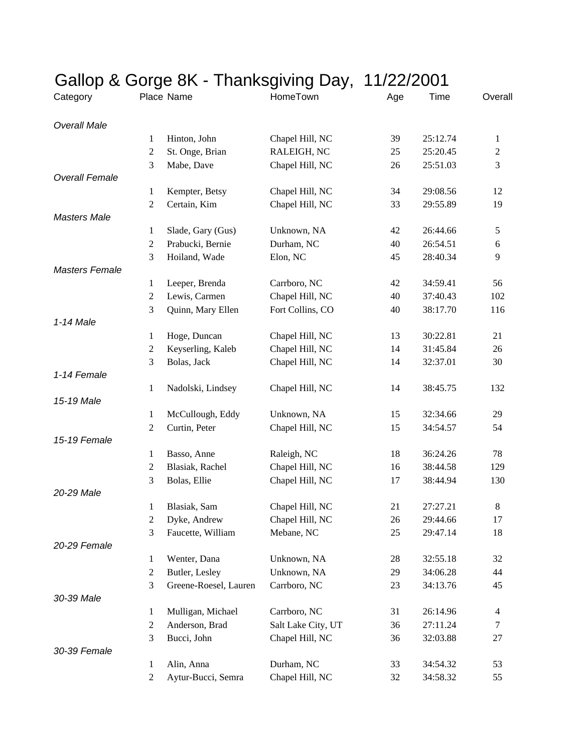| Gallop & Gorge 8K - Thanksgiving Day, | 11/22/2001       |                       |                    |     |          |                |
|---------------------------------------|------------------|-----------------------|--------------------|-----|----------|----------------|
| Category                              |                  | Place Name            | HomeTown           | Age | Time     | Overall        |
| <b>Overall Male</b>                   |                  |                       |                    |     |          |                |
|                                       | 1                | Hinton, John          | Chapel Hill, NC    | 39  | 25:12.74 | $\mathbf{1}$   |
|                                       | $\mathfrak{2}$   | St. Onge, Brian       | RALEIGH, NC        | 25  | 25:20.45 | 2              |
|                                       | 3                | Mabe, Dave            | Chapel Hill, NC    | 26  | 25:51.03 | 3              |
| <b>Overall Female</b>                 |                  |                       |                    |     |          |                |
|                                       | 1                | Kempter, Betsy        | Chapel Hill, NC    | 34  | 29:08.56 | 12             |
|                                       | $\mathfrak{2}$   | Certain, Kim          | Chapel Hill, NC    | 33  | 29:55.89 | 19             |
| <b>Masters Male</b>                   |                  |                       |                    |     |          |                |
|                                       | 1                | Slade, Gary (Gus)     | Unknown, NA        | 42  | 26:44.66 | 5              |
|                                       | $\overline{2}$   | Prabucki, Bernie      | Durham, NC         | 40  | 26:54.51 | 6              |
|                                       | 3                | Hoiland, Wade         | Elon, NC           | 45  | 28:40.34 | 9              |
| <b>Masters Female</b>                 |                  |                       |                    |     |          |                |
|                                       | 1                | Leeper, Brenda        | Carrboro, NC       | 42  | 34:59.41 | 56             |
|                                       | $\overline{2}$   | Lewis, Carmen         | Chapel Hill, NC    | 40  | 37:40.43 | 102            |
|                                       | 3                | Quinn, Mary Ellen     | Fort Collins, CO   | 40  | 38:17.70 | 116            |
| 1-14 Male                             |                  |                       |                    |     |          |                |
|                                       | $\mathbf{1}$     | Hoge, Duncan          | Chapel Hill, NC    | 13  | 30:22.81 | 21             |
|                                       | $\boldsymbol{2}$ | Keyserling, Kaleb     | Chapel Hill, NC    | 14  | 31:45.84 | 26             |
|                                       | 3                | Bolas, Jack           | Chapel Hill, NC    | 14  | 32:37.01 | 30             |
| 1-14 Female                           |                  |                       |                    |     |          |                |
|                                       | 1                | Nadolski, Lindsey     | Chapel Hill, NC    | 14  | 38:45.75 | 132            |
| 15-19 Male                            |                  |                       |                    |     |          |                |
|                                       | $\mathbf{1}$     | McCullough, Eddy      | Unknown, NA        | 15  | 32:34.66 | 29             |
|                                       | $\overline{2}$   | Curtin, Peter         | Chapel Hill, NC    | 15  | 34:54.57 | 54             |
| 15-19 Female                          |                  |                       |                    |     |          |                |
|                                       | 1                | Basso, Anne           | Raleigh, NC        | 18  | 36:24.26 | 78             |
|                                       | $\sqrt{2}$       | Blasiak, Rachel       | Chapel Hill, NC    | 16  | 38:44.58 | 129            |
|                                       | 3                | Bolas, Ellie          | Chapel Hill, NC    | 17  | 38:44.94 | 130            |
| 20-29 Male                            |                  |                       |                    |     |          |                |
|                                       | 1                | Blasiak, Sam          | Chapel Hill, NC    | 21  | 27:27.21 | 8              |
|                                       | $\sqrt{2}$       | Dyke, Andrew          | Chapel Hill, NC    | 26  | 29:44.66 | 17             |
|                                       | 3                | Faucette, William     | Mebane, NC         | 25  | 29:47.14 | 18             |
| 20-29 Female                          |                  |                       |                    |     |          |                |
|                                       | $\mathbf{1}$     | Wenter, Dana          | Unknown, NA        | 28  | 32:55.18 | 32             |
|                                       | $\sqrt{2}$       | Butler, Lesley        | Unknown, NA        | 29  | 34:06.28 | 44             |
|                                       | 3                | Greene-Roesel, Lauren | Carrboro, NC       | 23  | 34:13.76 | 45             |
| 30-39 Male                            |                  |                       |                    |     |          |                |
|                                       | $\mathbf{1}$     | Mulligan, Michael     | Carrboro, NC       | 31  | 26:14.96 | $\overline{4}$ |
|                                       | $\overline{2}$   | Anderson, Brad        | Salt Lake City, UT | 36  | 27:11.24 | 7              |
|                                       | 3                | Bucci, John           | Chapel Hill, NC    | 36  | 32:03.88 | 27             |
| 30-39 Female                          |                  |                       |                    |     |          |                |
|                                       | $\mathbf{1}$     | Alin, Anna            | Durham, NC         | 33  | 34:54.32 | 53             |
|                                       | $\overline{2}$   | Aytur-Bucci, Semra    | Chapel Hill, NC    | 32  | 34:58.32 | 55             |